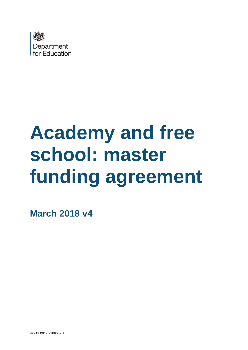

# **Academy and free school: master funding agreement**

**March 2018 v4**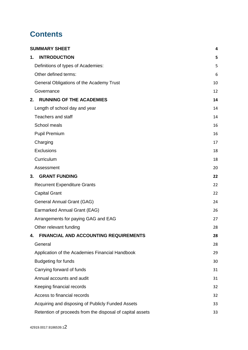## **Contents**

| <b>SUMMARY SHEET</b>                                      | 4  |
|-----------------------------------------------------------|----|
| <b>INTRODUCTION</b><br>1.                                 | 5  |
| Definitions of types of Academies:                        | 5  |
| Other defined terms:                                      | 6  |
| General Obligations of the Academy Trust                  | 10 |
| Governance                                                | 12 |
| <b>RUNNING OF THE ACADEMIES</b><br>2.                     | 14 |
| Length of school day and year                             | 14 |
| <b>Teachers and staff</b>                                 | 14 |
| School meals                                              | 16 |
| <b>Pupil Premium</b>                                      | 16 |
| Charging                                                  | 17 |
| Exclusions                                                | 18 |
| Curriculum                                                | 18 |
| Assessment                                                | 20 |
| <b>GRANT FUNDING</b><br>3.                                | 22 |
| <b>Recurrent Expenditure Grants</b>                       | 22 |
| <b>Capital Grant</b>                                      | 22 |
| General Annual Grant (GAG)                                | 24 |
| Earmarked Annual Grant (EAG)                              | 26 |
| Arrangements for paying GAG and EAG                       | 27 |
| Other relevant funding                                    | 28 |
| <b>FINANCIAL AND ACCOUNTING REQUIREMENTS</b><br>4.        | 28 |
| General                                                   | 28 |
| Application of the Academies Financial Handbook           | 29 |
| <b>Budgeting for funds</b>                                | 30 |
| Carrying forward of funds                                 | 31 |
| Annual accounts and audit                                 | 31 |
| Keeping financial records                                 | 32 |
| Access to financial records                               | 32 |
| Acquiring and disposing of Publicly Funded Assets         | 33 |
| Retention of proceeds from the disposal of capital assets | 33 |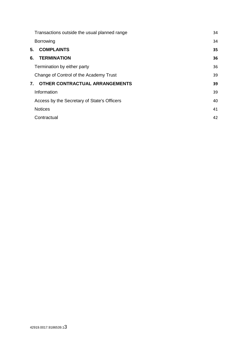|    | Transactions outside the usual planned range | 34 |
|----|----------------------------------------------|----|
|    | <b>Borrowing</b>                             | 34 |
| 5. | <b>COMPLAINTS</b>                            | 35 |
| 6. | <b>TERMINATION</b>                           | 36 |
|    | Termination by either party                  | 36 |
|    | Change of Control of the Academy Trust       | 39 |
| 7. | OTHER CONTRACTUAL ARRANGEMENTS               | 39 |
|    | Information                                  | 39 |
|    | Access by the Secretary of State's Officers  | 40 |
|    | <b>Notices</b>                               | 41 |
|    | Contractual                                  | 42 |
|    |                                              |    |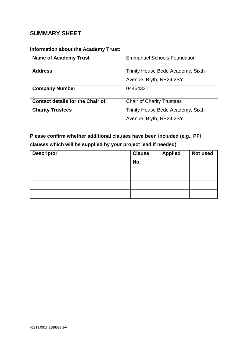## <span id="page-3-0"></span>**SUMMARY SHEET**

## **Information about the Academy Trust:**

| <b>Name of Academy Trust</b>            | <b>Emmanuel Schools Foundation</b> |
|-----------------------------------------|------------------------------------|
| <b>Address</b>                          | Trinity House Bede Academy, Sixth  |
|                                         | Avenue, Blyth, NE24 2SY            |
| <b>Company Number</b>                   | 04464331                           |
|                                         |                                    |
| <b>Contact details for the Chair of</b> | <b>Chair of Charity Trustees</b>   |
| <b>Charity Trustees</b>                 | Trinity House Bede Academy, Sixth  |
|                                         | Avenue, Blyth, NE24 2SY            |
|                                         |                                    |

## **Please confirm whether additional clauses have been included (e.g., PFI clauses which will be supplied by your project lead if needed)**

| <b>Descriptor</b> | <b>Clause</b> | <b>Applied</b> | Not used |
|-------------------|---------------|----------------|----------|
|                   | No.           |                |          |
|                   |               |                |          |
|                   |               |                |          |
|                   |               |                |          |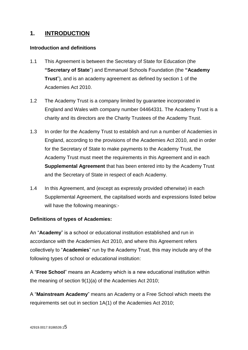## <span id="page-4-0"></span>**1. INTRODUCTION**

#### **Introduction and definitions**

- 1.1 This Agreement is between the Secretary of State for Education (the **"Secretary of State**") and Emmanuel Schools Foundation (the **"Academy Trust**"), and is an academy agreement as defined by section 1 of the Academies Act 2010.
- 1.2 The Academy Trust is a company limited by guarantee incorporated in England and Wales with company number 04464331. The Academy Trust is a charity and its directors are the Charity Trustees of the Academy Trust.
- 1.3 In order for the Academy Trust to establish and run a number of Academies in England, according to the provisions of the Academies Act 2010, and in order for the Secretary of State to make payments to the Academy Trust, the Academy Trust must meet the requirements in this Agreement and in each **Supplemental Agreement** that has been entered into by the Academy Trust and the Secretary of State in respect of each Academy.
- 1.4 In this Agreement, and (except as expressly provided otherwise) in each Supplemental Agreement, the capitalised words and expressions listed below will have the following meanings:-

#### <span id="page-4-1"></span>**Definitions of types of Academies:**

An "**Academy**" is a school or educational institution established and run in accordance with the Academies Act 2010, and where this Agreement refers collectively to "**Academies**" run by the Academy Trust, this may include any of the following types of school or educational institution:

A "**Free School**" means an Academy which is a new educational institution within the meaning of section 9(1)(a) of the Academies Act 2010;

A "**Mainstream Academy**" means an Academy or a Free School which meets the requirements set out in section 1A(1) of the Academies Act 2010;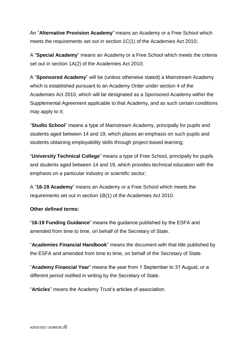An "**Alternative Provision Academy**" means an Academy or a Free School which meets the requirements set out in section 1C(1) of the Academies Act 2010;

A "**Special Academy**" means an Academy or a Free School which meets the criteria set out in section 1A(2) of the Academies Act 2010;

A "**Sponsored Academy**" will be (unless otherwise stated) a Mainstream Academy which is established pursuant to an Academy Order under section 4 of the Academies Act 2010, which will be designated as a Sponsored Academy within the Supplemental Agreement applicable to that Academy, and as such certain conditions may apply to it;

"**Studio School**" means a type of Mainstream Academy, principally for pupils and students aged between 14 and 19, which places an emphasis on such pupils and students obtaining employability skills through project-based learning;

"**University Technical College**" means a type of Free School, principally for pupils and students aged between 14 and 19, which provides technical education with the emphasis on a particular industry or scientific sector;

A "**16-19 Academy**" means an Academy or a Free School which meets the requirements set out in section 1B(1) of the Academies Act 2010.

## <span id="page-5-0"></span>**Other defined terms:**

"**16-19 Funding Guidance**" means the guidance published by the ESFA and amended from time to time, on behalf of the Secretary of State.

"**Academies Financial Handbook**" means the document with that title published by the ESFA and amended from time to time, on behalf of the Secretary of State.

"**Academy Financial Year**" means the year from 1 September to 31 August, or a different period notified in writing by the Secretary of State.

"**Articles**" means the Academy Trust's articles of association.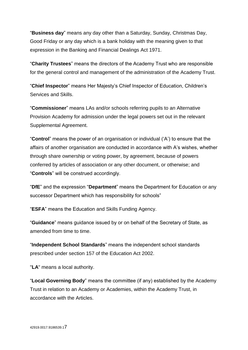"**Business day**" means any day other than a Saturday, Sunday, Christmas Day, Good Friday or any day which is a bank holiday with the meaning given to that expression in the Banking and Financial Dealings Act 1971.

"**Charity Trustees**" means the directors of the Academy Trust who are responsible for the general control and management of the administration of the Academy Trust.

"**Chief Inspector**" means Her Majesty's Chief Inspector of Education, Children's Services and Skills.

"**Commissioner**" means LAs and/or schools referring pupils to an Alternative Provision Academy for admission under the legal powers set out in the relevant Supplemental Agreement.

"**Control**" means the power of an organisation or individual ('A') to ensure that the affairs of another organisation are conducted in accordance with A's wishes, whether through share ownership or voting power, by agreement, because of powers conferred by articles of association or any other document, or otherwise; and "**Controls**" will be construed accordingly.

"**DfE**" and the expression "**Department**" means the Department for Education or any successor Department which has responsibility for schools"

"**ESFA**" means the Education and Skills Funding Agency.

"**Guidance**" means guidance issued by or on behalf of the Secretary of State, as amended from time to time.

"**Independent School Standards**" means the independent school standards prescribed under section 157 of the Education Act 2002.

"**LA**" means a local authority.

"**Local Governing Body**" means the committee (if any) established by the Academy Trust in relation to an Academy or Academies, within the Academy Trust, in accordance with the Articles.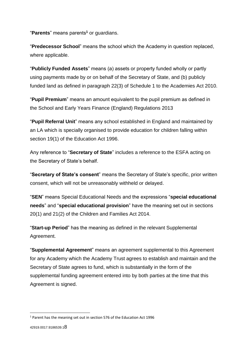"**Parents**" means parents**<sup>1</sup>** or guardians.

"**Predecessor School**" means the school which the Academy in question replaced, where applicable.

"**Publicly Funded Assets**" means (a) assets or property funded wholly or partly using payments made by or on behalf of the Secretary of State, and (b) publicly funded land as defined in paragraph 22(3) of Schedule 1 to the Academies Act 2010.

"**Pupil Premium**" means an amount equivalent to the pupil premium as defined in the School and Early Years Finance (England) Regulations 2013

"**Pupil Referral Unit**" means any school established in England and maintained by an LA which is specially organised to provide education for children falling within section 19(1) of the Education Act 1996.

Any reference to "**Secretary of State**" includes a reference to the ESFA acting on the Secretary of State's behalf.

"**Secretary of State's consent**" means the Secretary of State's specific, prior written consent, which will not be unreasonably withheld or delayed.

"**SEN**" means Special Educational Needs and the expressions "**special educational needs**" and "**special educational provision**" have the meaning set out in sections 20(1) and 21(2) of the Children and Families Act 2014.

"**Start-up Period**" has the meaning as defined in the relevant Supplemental Agreement.

"**Supplemental Agreement**" means an agreement supplemental to this Agreement for any Academy which the Academy Trust agrees to establish and maintain and the Secretary of State agrees to fund, which is substantially in the form of the supplemental funding agreement entered into by both parties at the time that this Agreement is signed.

**.** 

<sup>1</sup> Parent has the meaning set out in section 576 of the Education Act 1996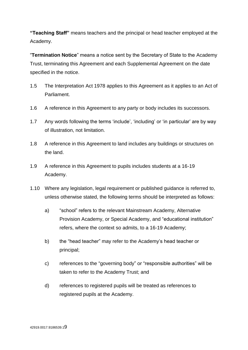**"Teaching Staff"** means teachers and the principal or head teacher employed at the Academy.

"**Termination Notice**" means a notice sent by the Secretary of State to the Academy Trust, terminating this Agreement and each Supplemental Agreement on the date specified in the notice.

- 1.5 The Interpretation Act 1978 applies to this Agreement as it applies to an Act of Parliament.
- 1.6 A reference in this Agreement to any party or body includes its successors.
- 1.7 Any words following the terms 'include', 'including' or 'in particular' are by way of illustration, not limitation.
- 1.8 A reference in this Agreement to land includes any buildings or structures on the land.
- 1.9 A reference in this Agreement to pupils includes students at a 16-19 Academy.
- 1.10 Where any legislation, legal requirement or published guidance is referred to, unless otherwise stated, the following terms should be interpreted as follows:
	- a) "school" refers to the relevant Mainstream Academy, Alternative Provision Academy, or Special Academy, and "educational institution" refers, where the context so admits, to a 16-19 Academy;
	- b) the "head teacher" may refer to the Academy's head teacher or principal;
	- c) references to the "governing body" or "responsible authorities" will be taken to refer to the Academy Trust; and
	- d) references to registered pupils will be treated as references to registered pupils at the Academy.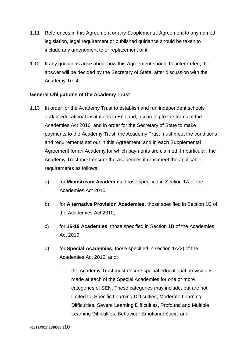- 1.11 References in this Agreement or any Supplemental Agreement to any named legislation, legal requirement or published guidance should be taken to include any amendment to or replacement of it.
- 1.12 If any questions arise about how this Agreement should be interpreted, the answer will be decided by the Secretary of State, after discussion with the Academy Trust.

## <span id="page-9-0"></span>**General Obligations of the Academy Trust**

- 1.13 In order for the Academy Trust to establish and run independent schools and/or educational institutions in England, according to the terms of the Academies Act 2010, and in order for the Secretary of State to make payments to the Academy Trust, the Academy Trust must meet the conditions and requirements set out in this Agreement, and in each Supplemental Agreement for an Academy for which payments are claimed. In particular, the Academy Trust must ensure the Academies it runs meet the applicable requirements as follows:
	- a) for **Mainstream Academies**, those specified in Section 1A of the Academies Act 2010;
	- b) for **Alternative Provision Academies**, those specified in Section 1C of the Academies Act 2010;
	- c) for **16-19 Academies**, those specified in Section 1B of the Academies Act 2010;
	- d) for **Special Academies**, those specified in section 1A(2) of the Academies Act 2010, and:
		- i. the Academy Trust must ensure special educational provision is made at each of the Special Academies for one or more categories of SEN. These categories may include, but are not limited to: Specific Learning Difficulties, Moderate Learning Difficulties, Severe Learning Difficulties, Profound and Multiple Learning Difficulties, Behaviour Emotional Social and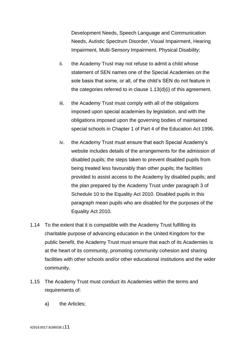Development Needs, Speech Language and Communication Needs, Autistic Spectrum Disorder, Visual Impairment, Hearing Impairment, Multi-Sensory Impairment, Physical Disability;

- ii. the Academy Trust may not refuse to admit a child whose statement of SEN names one of the Special Academies on the sole basis that some, or all, of the child's SEN do not feature in the categories referred to in clause 1.13(d)(i) of this agreement.
- iii. the Academy Trust must comply with all of the obligations imposed upon special academies by legislation, and with the obligations imposed upon the governing bodies of maintained special schools in Chapter 1 of Part 4 of the Education Act 1996.
- iv. the Academy Trust must ensure that each Special Academy's website includes details of the arrangements for the admission of disabled pupils; the steps taken to prevent disabled pupils from being treated less favourably than other pupils; the facilities provided to assist access to the Academy by disabled pupils; and the plan prepared by the Academy Trust under paragraph 3 of Schedule 10 to the Equality Act 2010. Disabled pupils in this paragraph mean pupils who are disabled for the purposes of the Equality Act 2010.
- 1.14 To the extent that it is compatible with the Academy Trust fulfilling its charitable purpose of advancing education in the United Kingdom for the public benefit, the Academy Trust must ensure that each of its Academies is at the heart of its community, promoting community cohesion and sharing facilities with other schools and/or other educational institutions and the wider community.
- 1.15 The Academy Trust must conduct its Academies within the terms and requirements of:
	- a) the Articles;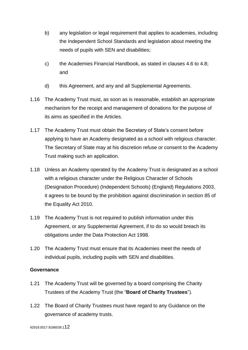- b) any legislation or legal requirement that applies to academies, including the Independent School Standards and legislation about meeting the needs of pupils with SEN and disabilities;
- c) the Academies Financial Handbook, as stated in clauses 4.6 to 4.8; and
- d) this Agreement, and any and all Supplemental Agreements.
- 1.16 The Academy Trust must, as soon as is reasonable, establish an appropriate mechanism for the receipt and management of donations for the purpose of its aims as specified in the Articles.
- 1.17 The Academy Trust must obtain the Secretary of State's consent before applying to have an Academy designated as a school with religious character. The Secretary of State may at his discretion refuse or consent to the Academy Trust making such an application.
- 1.18 Unless an Academy operated by the Academy Trust is designated as a school with a religious character under the Religious Character of Schools (Designation Procedure) (Independent Schools) (England) Regulations 2003, it agrees to be bound by the prohibition against discrimination in section 85 of the Equality Act 2010.
- 1.19 The Academy Trust is not required to publish information under this Agreement, or any Supplemental Agreement, if to do so would breach its obligations under the Data Protection Act 1998.
- 1.20 The Academy Trust must ensure that its Academies meet the needs of individual pupils, including pupils with SEN and disabilities.

#### <span id="page-11-0"></span>**Governance**

- 1.21 The Academy Trust will be governed by a board comprising the Charity Trustees of the Academy Trust (the "**Board of Charity Trustees**").
- 1.22 The Board of Charity Trustees must have regard to any Guidance on the governance of academy trusts.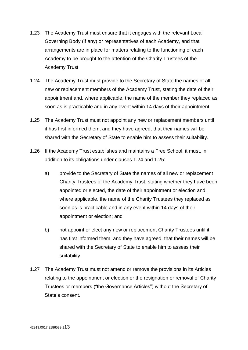- 1.23 The Academy Trust must ensure that it engages with the relevant Local Governing Body (if any) or representatives of each Academy, and that arrangements are in place for matters relating to the functioning of each Academy to be brought to the attention of the Charity Trustees of the Academy Trust.
- 1.24 The Academy Trust must provide to the Secretary of State the names of all new or replacement members of the Academy Trust, stating the date of their appointment and, where applicable, the name of the member they replaced as soon as is practicable and in any event within 14 days of their appointment.
- 1.25 The Academy Trust must not appoint any new or replacement members until it has first informed them, and they have agreed, that their names will be shared with the Secretary of State to enable him to assess their suitability.
- 1.26 If the Academy Trust establishes and maintains a Free School, it must, in addition to its obligations under clauses 1.24 and 1.25:
	- a) provide to the Secretary of State the names of all new or replacement Charity Trustees of the Academy Trust, stating whether they have been appointed or elected, the date of their appointment or election and, where applicable, the name of the Charity Trustees they replaced as soon as is practicable and in any event within 14 days of their appointment or election; and
	- b) not appoint or elect any new or replacement Charity Trustees until it has first informed them, and they have agreed, that their names will be shared with the Secretary of State to enable him to assess their suitability.
- 1.27 The Academy Trust must not amend or remove the provisions in its Articles relating to the appointment or election or the resignation or removal of Charity Trustees or members ("the Governance Articles") without the Secretary of State's consent.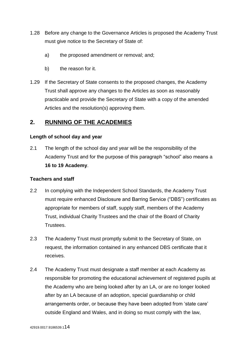- 1.28 Before any change to the Governance Articles is proposed the Academy Trust must give notice to the Secretary of State of:
	- a) the proposed amendment or removal; and;
	- b) the reason for it.
- 1.29 If the Secretary of State consents to the proposed changes, the Academy Trust shall approve any changes to the Articles as soon as reasonably practicable and provide the Secretary of State with a copy of the amended Articles and the resolution(s) approving them.

## <span id="page-13-0"></span>**2. RUNNING OF THE ACADEMIES**

#### <span id="page-13-1"></span>**Length of school day and year**

2.1 The length of the school day and year will be the responsibility of the Academy Trust and for the purpose of this paragraph "school" also means a **16 to 19 Academy**.

#### <span id="page-13-2"></span>**Teachers and staff**

- 2.2 In complying with the Independent School Standards, the Academy Trust must require enhanced Disclosure and Barring Service ("DBS") certificates as appropriate for members of staff, supply staff, members of the Academy Trust, individual Charity Trustees and the chair of the Board of Charity Trustees.
- 2.3 The Academy Trust must promptly submit to the Secretary of State, on request, the information contained in any enhanced DBS certificate that it receives.
- 2.4 The Academy Trust must designate a staff member at each Academy as responsible for promoting the educational achievement of registered pupils at the Academy who are being looked after by an LA, or are no longer looked after by an LA because of an adoption, special guardianship or child arrangements order, or because they have been adopted from 'state care' outside England and Wales, and in doing so must comply with the law,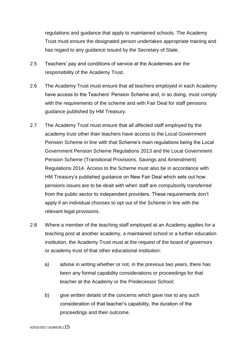regulations and guidance that apply to maintained schools. The Academy Trust must ensure the designated person undertakes appropriate training and has regard to any guidance issued by the Secretary of State.

- 2.5 Teachers' pay and conditions of service at the Academies are the responsibility of the Academy Trust.
- 2.6 The Academy Trust must ensure that all teachers employed in each Academy have access to the Teachers' Pension Scheme and, in so doing, must comply with the requirements of the scheme and with Fair Deal for staff pensions guidance published by HM Treasury.
- 2.7 The Academy Trust must ensure that all affected staff employed by the academy trust other than teachers have access to the Local Government Pension Scheme in line with that Scheme's main regulations being the Local Government Pension Scheme Regulations 2013 and the Local Government Pension Scheme (Transitional Provisions, Savings and Amendment) Regulations 2014. Access to the Scheme must also be in accordance with HM Treasury's published guidance on New Fair Deal which sets out how pensions issues are to be dealt with when staff are compulsorily transferred from the public sector to independent providers. These requirements don't apply if an individual chooses to opt out of the Scheme in line with the relevant legal provisions.
- 2.8 Where a member of the teaching staff employed at an Academy applies for a teaching post at another academy, a maintained school or a further education institution, the Academy Trust must at the request of the board of governors or academy trust of that other educational institution:
	- a) advise in writing whether or not, in the previous two years, there has been any formal capability considerations or proceedings for that teacher at the Academy or the Predecessor School;
	- b) give written details of the concerns which gave rise to any such consideration of that teacher's capability, the duration of the proceedings and their outcome.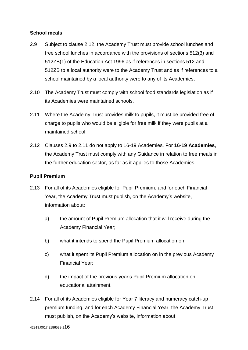## <span id="page-15-0"></span>**School meals**

- 2.9 Subject to clause 2.12, the Academy Trust must provide school lunches and free school lunches in accordance with the provisions of sections 512(3) and 512ZB(1) of the Education Act 1996 as if references in sections 512 and 512ZB to a local authority were to the Academy Trust and as if references to a school maintained by a local authority were to any of its Academies.
- 2.10 The Academy Trust must comply with school food standards legislation as if its Academies were maintained schools.
- 2.11 Where the Academy Trust provides milk to pupils, it must be provided free of charge to pupils who would be eligible for free milk if they were pupils at a maintained school.
- 2.12 Clauses 2.9 to 2.11 do not apply to 16-19 Academies. For **16-19 Academies**, the Academy Trust must comply with any Guidance in relation to free meals in the further education sector, as far as it applies to those Academies.

## <span id="page-15-1"></span>**Pupil Premium**

- 2.13 For all of its Academies eligible for Pupil Premium, and for each Financial Year, the Academy Trust must publish, on the Academy's website, information about:
	- a) the amount of Pupil Premium allocation that it will receive during the Academy Financial Year;
	- b) what it intends to spend the Pupil Premium allocation on;
	- c) what it spent its Pupil Premium allocation on in the previous Academy Financial Year;
	- d) the impact of the previous year's Pupil Premium allocation on educational attainment.
- 2.14 For all of its Academies eligible for Year 7 literacy and numeracy catch-up premium funding, and for each Academy Financial Year, the Academy Trust must publish, on the Academy's website, information about: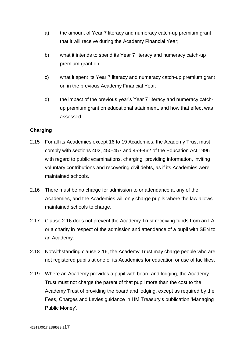- a) the amount of Year 7 literacy and numeracy catch-up premium grant that it will receive during the Academy Financial Year;
- b) what it intends to spend its Year 7 literacy and numeracy catch-up premium grant on;
- c) what it spent its Year 7 literacy and numeracy catch-up premium grant on in the previous Academy Financial Year;
- d) the impact of the previous year's Year 7 literacy and numeracy catchup premium grant on educational attainment, and how that effect was assessed.

## <span id="page-16-0"></span>**Charging**

- 2.15 For all its Academies except 16 to 19 Academies, the Academy Trust must comply with sections 402, 450-457 and 459-462 of the Education Act 1996 with regard to public examinations, charging, providing information, inviting voluntary contributions and recovering civil debts, as if its Academies were maintained schools.
- 2.16 There must be no charge for admission to or attendance at any of the Academies, and the Academies will only charge pupils where the law allows maintained schools to charge.
- 2.17 Clause 2.16 does not prevent the Academy Trust receiving funds from an LA or a charity in respect of the admission and attendance of a pupil with SEN to an Academy.
- 2.18 Notwithstanding clause 2.16, the Academy Trust may charge people who are not registered pupils at one of its Academies for education or use of facilities.
- 2.19 Where an Academy provides a pupil with board and lodging, the Academy Trust must not charge the parent of that pupil more than the cost to the Academy Trust of providing the board and lodging, except as required by the Fees, Charges and Levies guidance in HM Treasury's publication 'Managing Public Money'.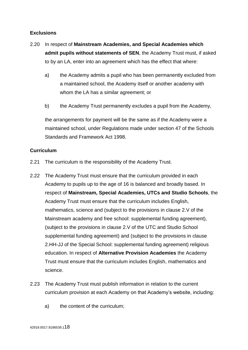## <span id="page-17-0"></span>**Exclusions**

- 2.20 In respect of **Mainstream Academies, and Special Academies which admit pupils without statements of SEN**, the Academy Trust must, if asked to by an LA, enter into an agreement which has the effect that where:
	- a) the Academy admits a pupil who has been permanently excluded from a maintained school, the Academy itself or another academy with whom the LA has a similar agreement; or
	- b) the Academy Trust permanently excludes a pupil from the Academy,

the arrangements for payment will be the same as if the Academy were a maintained school, under Regulations made under section 47 of the Schools Standards and Framework Act 1998.

## <span id="page-17-1"></span>**Curriculum**

- 2.21 The curriculum is the responsibility of the Academy Trust.
- 2.22 The Academy Trust must ensure that the curriculum provided in each Academy to pupils up to the age of 16 is balanced and broadly based. In respect of **Mainstream, Special Academies, UTCs and Studio Schools**, the Academy Trust must ensure that the curriculum includes English, mathematics, science and (subject to the provisions in clause 2.V of the Mainstream academy and free school: supplemental funding agreement), (subject to the provisions in clause 2.V of the UTC and Studio School supplemental funding agreement) and (subject to the provisions in clause 2.HH-JJ of the Special School: supplemental funding agreement) religious education. In respect of **Alternative Provision Academies** the Academy Trust must ensure that the curriculum includes English, mathematics and science.
- 2.23 The Academy Trust must publish information in relation to the current curriculum provision at each Academy on that Academy's website, including:
	- a) the content of the curriculum;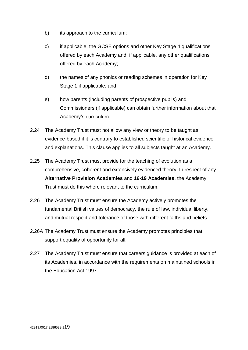- b) its approach to the curriculum;
- c) if applicable, the GCSE options and other Key Stage 4 qualifications offered by each Academy and, if applicable, any other qualifications offered by each Academy;
- d) the names of any phonics or reading schemes in operation for Key Stage 1 if applicable; and
- e) how parents (including parents of prospective pupils) and Commissioners (if applicable) can obtain further information about that Academy's curriculum.
- 2.24 The Academy Trust must not allow any view or theory to be taught as evidence-based if it is contrary to established scientific or historical evidence and explanations. This clause applies to all subjects taught at an Academy.
- 2.25 The Academy Trust must provide for the teaching of evolution as a comprehensive, coherent and extensively evidenced theory. In respect of any **Alternative Provision Academies** and **16-19 Academies**, the Academy Trust must do this where relevant to the curriculum.
- 2.26 The Academy Trust must ensure the Academy actively promotes the fundamental British values of democracy, the rule of law, individual liberty, and mutual respect and tolerance of those with different faiths and beliefs.
- 2.26A The Academy Trust must ensure the Academy promotes principles that support equality of opportunity for all.
- 2.27 The Academy Trust must ensure that careers guidance is provided at each of its Academies, in accordance with the requirements on maintained schools in the Education Act 1997.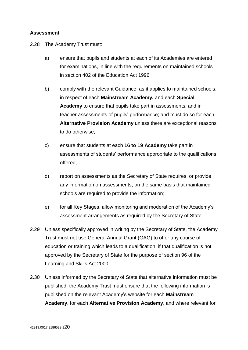## <span id="page-19-0"></span>**Assessment**

2.28 The Academy Trust must:

- a) ensure that pupils and students at each of its Academies are entered for examinations, in line with the requirements on maintained schools in section 402 of the Education Act 1996;
- b) comply with the relevant Guidance, as it applies to maintained schools, in respect of each **Mainstream Academy,** and each **Special Academy** to ensure that pupils take part in assessments, and in teacher assessments of pupils' performance; and must do so for each **Alternative Provision Academy** unless there are exceptional reasons to do otherwise;
- c) ensure that students at each **16 to 19 Academy** take part in assessments of students' performance appropriate to the qualifications offered;
- d) report on assessments as the Secretary of State requires, or provide any information on assessments, on the same basis that maintained schools are required to provide the information:
- e) for all Key Stages, allow monitoring and moderation of the Academy's assessment arrangements as required by the Secretary of State.
- 2.29 Unless specifically approved in writing by the Secretary of State, the Academy Trust must not use General Annual Grant (GAG) to offer any course of education or training which leads to a qualification, if that qualification is not approved by the Secretary of State for the purpose of section 96 of the Learning and Skills Act 2000.
- 2.30 Unless informed by the Secretary of State that alternative information must be published, the Academy Trust must ensure that the following information is published on the relevant Academy's website for each **Mainstream Academy**, for each **Alternative Provision Academy**, and where relevant for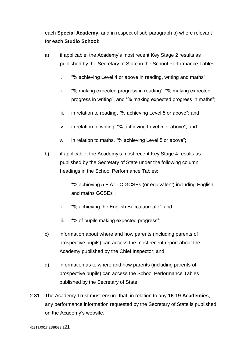each **Special Academy,** and in respect of sub-paragraph b) where relevant for each **Studio School**:

- a) if applicable, the Academy's most recent Key Stage 2 results as published by the Secretary of State in the School Performance Tables:
	- i. "% achieving Level 4 or above in reading, writing and maths";
	- ii. "% making expected progress in reading", "% making expected progress in writing", and "% making expected progress in maths";
	- iii. in relation to reading, "% achieving Level 5 or above"; and
	- iv. in relation to writing, "% achieving Level 5 or above"; and
	- v. in relation to maths, "% achieving Level 5 or above";
- b) if applicable, the Academy's most recent Key Stage 4 results as published by the Secretary of State under the following column headings in the School Performance Tables:
	- i. "% achieving  $5 + A^* C$  GCSEs (or equivalent) including English and maths GCSEs";
	- ii. "% achieving the English Baccalaureate"; and
	- iii. "% of pupils making expected progress";
- c) information about where and how parents (including parents of prospective pupils) can access the most recent report about the Academy published by the Chief Inspector; and
- d) information as to where and how parents (including parents of prospective pupils) can access the School Performance Tables published by the Secretary of State.
- 2.31 The Academy Trust must ensure that, in relation to any **16-19 Academies**, any performance information requested by the Secretary of State is published on the Academy's website.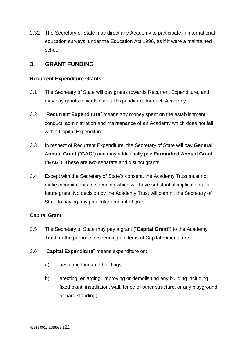2.32 The Secretary of State may direct any Academy to participate in international education surveys, under the Education Act 1996, as if it were a maintained school.

## <span id="page-21-0"></span>**3. GRANT FUNDING**

## <span id="page-21-1"></span>**Recurrent Expenditure Grants**

- 3.1 The Secretary of State will pay grants towards Recurrent Expenditure, and may pay grants towards Capital Expenditure, for each Academy.
- 3.2 "**Recurrent Expenditure**" means any money spent on the establishment, conduct, administration and maintenance of an Academy which does not fall within Capital Expenditure.
- 3.3 In respect of Recurrent Expenditure, the Secretary of State will pay **General Annual Grant** ("**GAG**") and may additionally pay **Earmarked Annual Grant** ("**EAG**"). These are two separate and distinct grants.
- 3.4 Except with the Secretary of State's consent, the Academy Trust must not make commitments to spending which will have substantial implications for future grant. No decision by the Academy Trust will commit the Secretary of State to paying any particular amount of grant.

## <span id="page-21-2"></span>**Capital Grant**

- 3.5 The Secretary of State may pay a grant ("**Capital Grant**") to the Academy Trust for the purpose of spending on items of Capital Expenditure.
- 3.6 "**Capital Expenditure**" means expenditure on:
	- a) acquiring land and buildings;
	- b) erecting, enlarging, improving or demolishing any building including fixed plant, installation, wall, fence or other structure, or any playground or hard standing;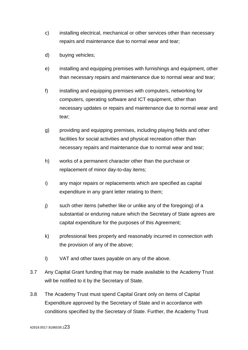- c) installing electrical, mechanical or other services other than necessary repairs and maintenance due to normal wear and tear;
- d) buying vehicles;
- e) installing and equipping premises with furnishings and equipment, other than necessary repairs and maintenance due to normal wear and tear;
- f) installing and equipping premises with computers, networking for computers, operating software and ICT equipment, other than necessary updates or repairs and maintenance due to normal wear and tear;
- g) providing and equipping premises, including playing fields and other facilities for social activities and physical recreation other than necessary repairs and maintenance due to normal wear and tear;
- h) works of a permanent character other than the purchase or replacement of minor day-to-day items;
- i) any major repairs or replacements which are specified as capital expenditure in any grant letter relating to them;
- j) such other items (whether like or unlike any of the foregoing) of a substantial or enduring nature which the Secretary of State agrees are capital expenditure for the purposes of this Agreement;
- k) professional fees properly and reasonably incurred in connection with the provision of any of the above;
- l) VAT and other taxes payable on any of the above.
- 3.7 Any Capital Grant funding that may be made available to the Academy Trust will be notified to it by the Secretary of State.
- 3.8 The Academy Trust must spend Capital Grant only on items of Capital Expenditure approved by the Secretary of State and in accordance with conditions specified by the Secretary of State. Further, the Academy Trust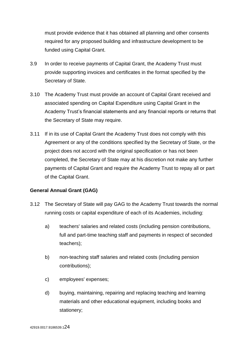must provide evidence that it has obtained all planning and other consents required for any proposed building and infrastructure development to be funded using Capital Grant.

- 3.9 In order to receive payments of Capital Grant, the Academy Trust must provide supporting invoices and certificates in the format specified by the Secretary of State.
- 3.10 The Academy Trust must provide an account of Capital Grant received and associated spending on Capital Expenditure using Capital Grant in the Academy Trust's financial statements and any financial reports or returns that the Secretary of State may require.
- 3.11 If in its use of Capital Grant the Academy Trust does not comply with this Agreement or any of the conditions specified by the Secretary of State, or the project does not accord with the original specification or has not been completed, the Secretary of State may at his discretion not make any further payments of Capital Grant and require the Academy Trust to repay all or part of the Capital Grant.

#### <span id="page-23-0"></span>**General Annual Grant (GAG)**

- 3.12 The Secretary of State will pay GAG to the Academy Trust towards the normal running costs or capital expenditure of each of its Academies, including:
	- a) teachers' salaries and related costs (including pension contributions, full and part-time teaching staff and payments in respect of seconded teachers);
	- b) non-teaching staff salaries and related costs (including pension contributions);
	- c) employees' expenses;
	- d) buying, maintaining, repairing and replacing teaching and learning materials and other educational equipment, including books and stationery;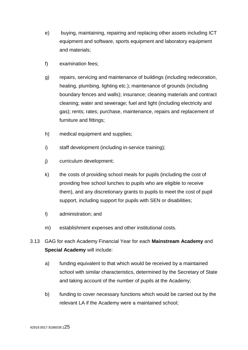- e) buying, maintaining, repairing and replacing other assets including ICT equipment and software, sports equipment and laboratory equipment and materials;
- f) examination fees;
- g) repairs, servicing and maintenance of buildings (including redecoration, heating, plumbing, lighting etc.); maintenance of grounds (including boundary fences and walls); insurance; cleaning materials and contract cleaning; water and sewerage; fuel and light (including electricity and gas); rents; rates; purchase, maintenance, repairs and replacement of furniture and fittings;
- h) medical equipment and supplies;
- i) staff development (including in-service training);
- j) curriculum development;
- k) the costs of providing school meals for pupils (including the cost of providing free school lunches to pupils who are eligible to receive them), and any discretionary grants to pupils to meet the cost of pupil support, including support for pupils with SEN or disabilities;
- l) administration; and
- m) establishment expenses and other institutional costs.
- 3.13 GAG for each Academy Financial Year for each **Mainstream Academy** and **Special Academy** will include:
	- a) funding equivalent to that which would be received by a maintained school with similar characteristics, determined by the Secretary of State and taking account of the number of pupils at the Academy;
	- b) funding to cover necessary functions which would be carried out by the relevant LA if the Academy were a maintained school;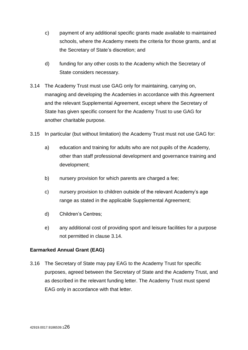- c) payment of any additional specific grants made available to maintained schools, where the Academy meets the criteria for those grants, and at the Secretary of State's discretion; and
- d) funding for any other costs to the Academy which the Secretary of State considers necessary.
- 3.14 The Academy Trust must use GAG only for maintaining, carrying on, managing and developing the Academies in accordance with this Agreement and the relevant Supplemental Agreement, except where the Secretary of State has given specific consent for the Academy Trust to use GAG for another charitable purpose.
- 3.15 In particular (but without limitation) the Academy Trust must not use GAG for:
	- a) education and training for adults who are not pupils of the Academy, other than staff professional development and governance training and development;
	- b) nursery provision for which parents are charged a fee;
	- c) nursery provision to children outside of the relevant Academy's age range as stated in the applicable Supplemental Agreement;
	- d) Children's Centres;
	- e) any additional cost of providing sport and leisure facilities for a purpose not permitted in clause 3.14.

## <span id="page-25-0"></span>**Earmarked Annual Grant (EAG)**

3.16 The Secretary of State may pay EAG to the Academy Trust for specific purposes, agreed between the Secretary of State and the Academy Trust, and as described in the relevant funding letter. The Academy Trust must spend EAG only in accordance with that letter.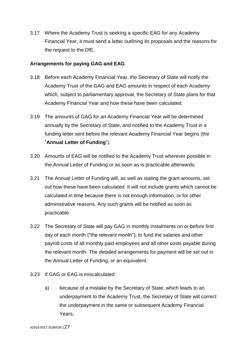3.17 Where the Academy Trust is seeking a specific EAG for any Academy Financial Year, it must send a letter outlining its proposals and the reasons for the request to the DfE.

## <span id="page-26-0"></span>**Arrangements for paying GAG and EAG**

- 3.18 Before each Academy Financial Year, the Secretary of State will notify the Academy Trust of the GAG and EAG amounts in respect of each Academy which, subject to parliamentary approval, the Secretary of State plans for that Academy Financial Year and how these have been calculated.
- 3.19 The amounts of GAG for an Academy Financial Year will be determined annually by the Secretary of State, and notified to the Academy Trust in a funding letter sent before the relevant Academy Financial Year begins (the "**Annual Letter of Funding**").
- 3.20 Amounts of EAG will be notified to the Academy Trust wherever possible in the Annual Letter of Funding or as soon as is practicable afterwards.
- 3.21 The Annual Letter of Funding will, as well as stating the grant amounts, set out how these have been calculated. It will not include grants which cannot be calculated in time because there is not enough information, or for other administrative reasons. Any such grants will be notified as soon as practicable.
- 3.22 The Secretary of State will pay GAG in monthly instalments on or before first day of each month ("the relevant month"), to fund the salaries and other payroll costs of all monthly paid employees and all other costs payable during the relevant month. The detailed arrangements for payment will be set out in the Annual Letter of Funding, or an equivalent.
- 3.23 If GAG or EAG is miscalculated:
	- a) because of a mistake by the Secretary of State, which leads to an underpayment to the Academy Trust, the Secretary of State will correct the underpayment in the same or subsequent Academy Financial Years;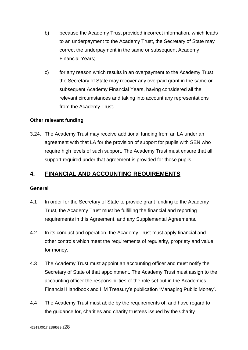- b) because the Academy Trust provided incorrect information, which leads to an underpayment to the Academy Trust, the Secretary of State may correct the underpayment in the same or subsequent Academy Financial Years;
- c) for any reason which results in an overpayment to the Academy Trust, the Secretary of State may recover any overpaid grant in the same or subsequent Academy Financial Years, having considered all the relevant circumstances and taking into account any representations from the Academy Trust.

## <span id="page-27-0"></span>**Other relevant funding**

3.24. The Academy Trust may receive additional funding from an LA under an agreement with that LA for the provision of support for pupils with SEN who require high levels of such support. The Academy Trust must ensure that all support required under that agreement is provided for those pupils.

## <span id="page-27-1"></span>**4. FINANCIAL AND ACCOUNTING REQUIREMENTS**

#### <span id="page-27-2"></span>**General**

- 4.1 In order for the Secretary of State to provide grant funding to the Academy Trust, the Academy Trust must be fulfilling the financial and reporting requirements in this Agreement, and any Supplemental Agreements.
- 4.2 In its conduct and operation, the Academy Trust must apply financial and other controls which meet the requirements of regularity, propriety and value for money.
- 4.3 The Academy Trust must appoint an accounting officer and must notify the Secretary of State of that appointment. The Academy Trust must assign to the accounting officer the responsibilities of the role set out in the Academies Financial Handbook and HM Treasury's publication 'Managing Public Money'.
- 4.4 The Academy Trust must abide by the requirements of, and have regard to the guidance for, charities and charity trustees issued by the Charity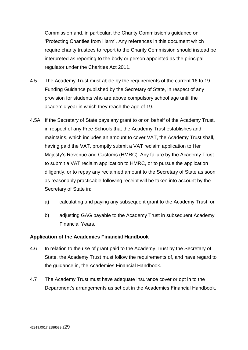Commission and, in particular, the Charity Commission's guidance on 'Protecting Charities from Harm'. Any references in this document which require charity trustees to report to the Charity Commission should instead be interpreted as reporting to the body or person appointed as the principal regulator under the Charities Act 2011.

- 4.5 The Academy Trust must abide by the requirements of the current 16 to 19 Funding Guidance published by the Secretary of State, in respect of any provision for students who are above compulsory school age until the academic year in which they reach the age of 19.
- 4.5A If the Secretary of State pays any grant to or on behalf of the Academy Trust, in respect of any Free Schools that the Academy Trust establishes and maintains, which includes an amount to cover VAT, the Academy Trust shall, having paid the VAT, promptly submit a VAT reclaim application to Her Majesty's Revenue and Customs (HMRC). Any failure by the Academy Trust to submit a VAT reclaim application to HMRC, or to pursue the application diligently, or to repay any reclaimed amount to the Secretary of State as soon as reasonably practicable following receipt will be taken into account by the Secretary of State in:
	- a) calculating and paying any subsequent grant to the Academy Trust; or
	- b) adjusting GAG payable to the Academy Trust in subsequent Academy Financial Years.

## <span id="page-28-0"></span>**Application of the Academies Financial Handbook**

- 4.6 In relation to the use of grant paid to the Academy Trust by the Secretary of State, the Academy Trust must follow the requirements of, and have regard to the guidance in, the Academies Financial Handbook.
- 4.7 The Academy Trust must have adequate insurance cover or opt in to the Department's arrangements as set out in the Academies Financial Handbook.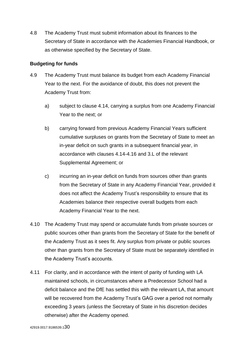4.8 The Academy Trust must submit information about its finances to the Secretary of State in accordance with the Academies Financial Handbook, or as otherwise specified by the Secretary of State.

## <span id="page-29-0"></span>**Budgeting for funds**

- 4.9 The Academy Trust must balance its budget from each Academy Financial Year to the next. For the avoidance of doubt, this does not prevent the Academy Trust from:
	- a) subject to clause 4.14, carrying a surplus from one Academy Financial Year to the next; or
	- b) carrying forward from previous Academy Financial Years sufficient cumulative surpluses on grants from the Secretary of State to meet an in-year deficit on such grants in a subsequent financial year, in accordance with clauses 4.14-4.16 and 3.L of the relevant Supplemental Agreement; or
	- c) incurring an in-year deficit on funds from sources other than grants from the Secretary of State in any Academy Financial Year, provided it does not affect the Academy Trust's responsibility to ensure that its Academies balance their respective overall budgets from each Academy Financial Year to the next.
- 4.10 The Academy Trust may spend or accumulate funds from private sources or public sources other than grants from the Secretary of State for the benefit of the Academy Trust as it sees fit. Any surplus from private or public sources other than grants from the Secretary of State must be separately identified in the Academy Trust's accounts.
- 4.11 For clarity, and in accordance with the intent of parity of funding with LA maintained schools, in circumstances where a Predecessor School had a deficit balance and the DfE has settled this with the relevant LA, that amount will be recovered from the Academy Trust's GAG over a period not normally exceeding 3 years (unless the Secretary of State in his discretion decides otherwise) after the Academy opened.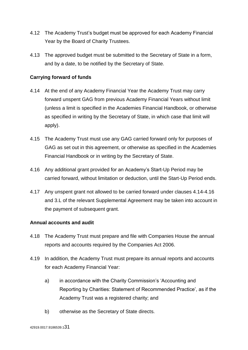- 4.12 The Academy Trust's budget must be approved for each Academy Financial Year by the Board of Charity Trustees.
- 4.13 The approved budget must be submitted to the Secretary of State in a form, and by a date, to be notified by the Secretary of State.

## <span id="page-30-0"></span>**Carrying forward of funds**

- 4.14 At the end of any Academy Financial Year the Academy Trust may carry forward unspent GAG from previous Academy Financial Years without limit (unless a limit is specified in the Academies Financial Handbook, or otherwise as specified in writing by the Secretary of State, in which case that limit will apply).
- 4.15 The Academy Trust must use any GAG carried forward only for purposes of GAG as set out in this agreement, or otherwise as specified in the Academies Financial Handbook or in writing by the Secretary of State.
- 4.16 Any additional grant provided for an Academy's Start-Up Period may be carried forward, without limitation or deduction, until the Start-Up Period ends.
- 4.17 Any unspent grant not allowed to be carried forward under clauses 4.14-4.16 and 3.L of the relevant Supplemental Agreement may be taken into account in the payment of subsequent grant.

#### <span id="page-30-1"></span>**Annual accounts and audit**

- 4.18 The Academy Trust must prepare and file with Companies House the annual reports and accounts required by the Companies Act 2006.
- 4.19 In addition, the Academy Trust must prepare its annual reports and accounts for each Academy Financial Year:
	- a) in accordance with the Charity Commission's 'Accounting and Reporting by Charities: Statement of Recommended Practice', as if the Academy Trust was a registered charity; and
	- b) otherwise as the Secretary of State directs.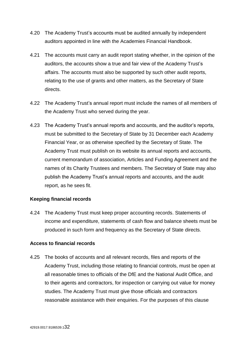- 4.20 The Academy Trust's accounts must be audited annually by independent auditors appointed in line with the Academies Financial Handbook.
- 4.21 The accounts must carry an audit report stating whether, in the opinion of the auditors, the accounts show a true and fair view of the Academy Trust's affairs. The accounts must also be supported by such other audit reports, relating to the use of grants and other matters, as the Secretary of State directs.
- 4.22 The Academy Trust's annual report must include the names of all members of the Academy Trust who served during the year.
- 4.23 The Academy Trust's annual reports and accounts, and the auditor's reports, must be submitted to the Secretary of State by 31 December each Academy Financial Year, or as otherwise specified by the Secretary of State. The Academy Trust must publish on its website its annual reports and accounts, current memorandum of association, Articles and Funding Agreement and the names of its Charity Trustees and members. The Secretary of State may also publish the Academy Trust's annual reports and accounts, and the audit report, as he sees fit.

#### <span id="page-31-0"></span>**Keeping financial records**

4.24 The Academy Trust must keep proper accounting records. Statements of income and expenditure, statements of cash flow and balance sheets must be produced in such form and frequency as the Secretary of State directs.

#### <span id="page-31-1"></span>**Access to financial records**

4.25 The books of accounts and all relevant records, files and reports of the Academy Trust, including those relating to financial controls, must be open at all reasonable times to officials of the DfE and the National Audit Office, and to their agents and contractors, for inspection or carrying out value for money studies. The Academy Trust must give those officials and contractors reasonable assistance with their enquiries. For the purposes of this clause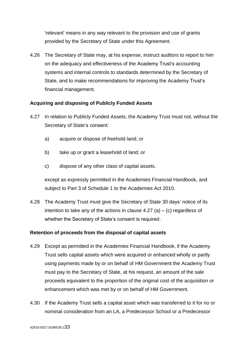'relevant' means in any way relevant to the provision and use of grants provided by the Secretary of State under this Agreement.

4.26 The Secretary of State may, at his expense, instruct auditors to report to him on the adequacy and effectiveness of the Academy Trust's accounting systems and internal controls to standards determined by the Secretary of State, and to make recommendations for improving the Academy Trust's financial management.

## <span id="page-32-0"></span>**Acquiring and disposing of Publicly Funded Assets**

- 4.27 In relation to Publicly Funded Assets, the Academy Trust must not, without the Secretary of State's consent:
	- a) acquire or dispose of freehold land; or
	- b) take up or grant a leasehold of land; or
	- c) dispose of any other class of capital assets.

except as expressly permitted in the Academies Financial Handbook, and subject to Part 3 of Schedule 1 to the Academies Act 2010.

4.28 The Academy Trust must give the Secretary of State 30 days' notice of its intention to take any of the actions in clause  $4.27$  (a) – (c) regardless of whether the Secretary of State's consent is required.

#### <span id="page-32-1"></span>**Retention of proceeds from the disposal of capital assets**

- 4.29 Except as permitted in the Academies Financial Handbook, if the Academy Trust sells capital assets which were acquired or enhanced wholly or partly using payments made by or on behalf of HM Government the Academy Trust must pay to the Secretary of State, at his request, an amount of the sale proceeds equivalent to the proportion of the original cost of the acquisition or enhancement which was met by or on behalf of HM Government.
- 4.30 If the Academy Trust sells a capital asset which was transferred to it for no or nominal consideration from an LA, a Predecessor School or a Predecessor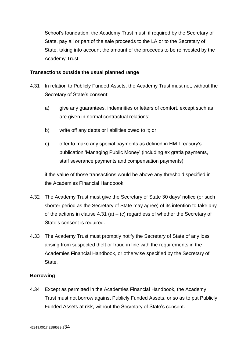School's foundation, the Academy Trust must, if required by the Secretary of State, pay all or part of the sale proceeds to the LA or to the Secretary of State, taking into account the amount of the proceeds to be reinvested by the Academy Trust.

## <span id="page-33-0"></span>**Transactions outside the usual planned range**

- 4.31 In relation to Publicly Funded Assets, the Academy Trust must not, without the Secretary of State's consent:
	- a) give any guarantees, indemnities or letters of comfort, except such as are given in normal contractual relations;
	- b) write off any debts or liabilities owed to it; or
	- c) offer to make any special payments as defined in HM Treasury's publication 'Managing Public Money' (including ex gratia payments, staff severance payments and compensation payments)

if the value of those transactions would be above any threshold specified in the Academies Financial Handbook.

- 4.32 The Academy Trust must give the Secretary of State 30 days' notice (or such shorter period as the Secretary of State may agree) of its intention to take any of the actions in clause  $4.31$  (a) – (c) regardless of whether the Secretary of State's consent is required.
- 4.33 The Academy Trust must promptly notify the Secretary of State of any loss arising from suspected theft or fraud in line with the requirements in the Academies Financial Handbook, or otherwise specified by the Secretary of State.

## <span id="page-33-1"></span>**Borrowing**

4.34 Except as permitted in the Academies Financial Handbook, the Academy Trust must not borrow against Publicly Funded Assets, or so as to put Publicly Funded Assets at risk, without the Secretary of State's consent.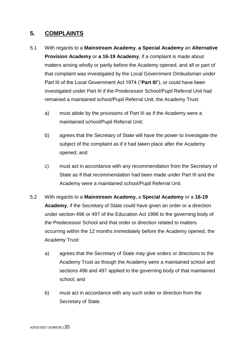## <span id="page-34-0"></span>**5. COMPLAINTS**

- 5.1 With regards to a **Mainstream Academy**, **a Special Academy** an **Alternative Provision Academy** or **a 16-19 Academy**, if a complaint is made about matters arising wholly or partly before the Academy opened, and all or part of that complaint was investigated by the Local Government Ombudsman under Part III of the Local Government Act 1974 ("**Part III**"), or could have been investigated under Part III if the Predecessor School/Pupil Referral Unit had remained a maintained school/Pupil Referral Unit, the Academy Trust:
	- a) must abide by the provisions of Part III as if the Academy were a maintained school/Pupil Referral Unit;
	- b) agrees that the Secretary of State will have the power to investigate the subject of the complaint as if it had taken place after the Academy opened; and
	- c) must act in accordance with any recommendation from the Secretary of State as if that recommendation had been made under Part III and the Academy were a maintained school/Pupil Referral Unit.
- 5.2 With regards to a **Mainstream Academy,** a **Special Academy** or a **16-19 Academy**, if the Secretary of State could have given an order or a direction under section 496 or 497 of the Education Act 1996 to the governing body of the Predecessor School and that order or direction related to matters occurring within the 12 months immediately before the Academy opened, the Academy Trust:
	- a) agrees that the Secretary of State may give orders or directions to the Academy Trust as though the Academy were a maintained school and sections 496 and 497 applied to the governing body of that maintained school; and
	- b) must act in accordance with any such order or direction from the Secretary of State.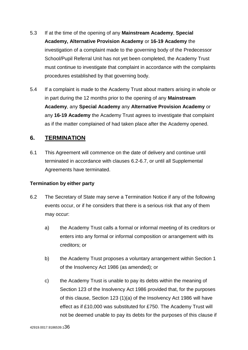- 5.3 If at the time of the opening of any **Mainstream Academy**, **Special Academy, Alternative Provision Academy** or **16-19 Academy** the investigation of a complaint made to the governing body of the Predecessor School/Pupil Referral Unit has not yet been completed, the Academy Trust must continue to investigate that complaint in accordance with the complaints procedures established by that governing body.
- 5.4 If a complaint is made to the Academy Trust about matters arising in whole or in part during the 12 months prior to the opening of any **Mainstream Academy**, any **Special Academy** any **Alternative Provision Academy** or any **16-19 Academy** the Academy Trust agrees to investigate that complaint as if the matter complained of had taken place after the Academy opened.

## <span id="page-35-0"></span>**6. TERMINATION**

6.1 This Agreement will commence on the date of delivery and continue until terminated in accordance with clauses 6.2-6.7, or until all Supplemental Agreements have terminated.

#### <span id="page-35-1"></span>**Termination by either party**

- 6.2 The Secretary of State may serve a Termination Notice if any of the following events occur, or if he considers that there is a serious risk that any of them may occur:
	- a) the Academy Trust calls a formal or informal meeting of its creditors or enters into any formal or informal composition or arrangement with its creditors; or
	- b) the Academy Trust proposes a voluntary arrangement within Section 1 of the Insolvency Act 1986 (as amended); or
	- c) the Academy Trust is unable to pay its debts within the meaning of Section 123 of the Insolvency Act 1986 provided that, for the purposes of this clause, Section 123 (1)(a) of the Insolvency Act 1986 will have effect as if £10,000 was substituted for £750. The Academy Trust will not be deemed unable to pay its debts for the purposes of this clause if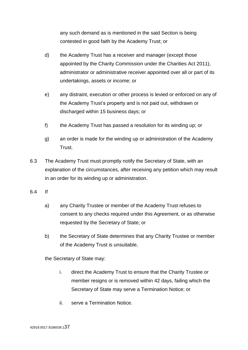any such demand as is mentioned in the said Section is being contested in good faith by the Academy Trust; or

- d) the Academy Trust has a receiver and manager (except those appointed by the Charity Commission under the Charities Act 2011), administrator or administrative receiver appointed over all or part of its undertakings, assets or income; or
- e) any distraint, execution or other process is levied or enforced on any of the Academy Trust's property and is not paid out, withdrawn or discharged within 15 business days; or
- f) the Academy Trust has passed a resolution for its winding up; or
- g) an order is made for the winding up or administration of the Academy Trust.
- 6.3 The Academy Trust must promptly notify the Secretary of State, with an explanation of the circumstances, after receiving any petition which may result in an order for its winding up or administration.
- 6.4 If
	- a) any Charity Trustee or member of the Academy Trust refuses to consent to any checks required under this Agreement, or as otherwise requested by the Secretary of State; or
	- b) the Secretary of State determines that any Charity Trustee or member of the Academy Trust is unsuitable,

the Secretary of State may:

- i. direct the Academy Trust to ensure that the Charity Trustee or member resigns or is removed within 42 days, failing which the Secretary of State may serve a Termination Notice; or
- ii. serve a Termination Notice.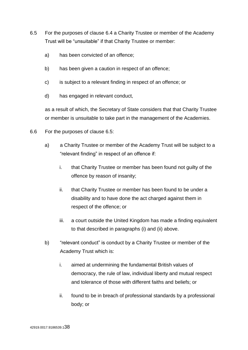- 6.5 For the purposes of clause 6.4 a Charity Trustee or member of the Academy Trust will be "unsuitable" if that Charity Trustee or member:
	- a) has been convicted of an offence;
	- b) has been given a caution in respect of an offence;
	- c) is subject to a relevant finding in respect of an offence; or
	- d) has engaged in relevant conduct,

as a result of which, the Secretary of State considers that that Charity Trustee or member is unsuitable to take part in the management of the Academies.

- 6.6 For the purposes of clause 6.5:
	- a) a Charity Trustee or member of the Academy Trust will be subject to a "relevant finding" in respect of an offence if:
		- i. that Charity Trustee or member has been found not guilty of the offence by reason of insanity;
		- ii. that Charity Trustee or member has been found to be under a disability and to have done the act charged against them in respect of the offence; or
		- iii. a court outside the United Kingdom has made a finding equivalent to that described in paragraphs (i) and (ii) above.
	- b) "relevant conduct" is conduct by a Charity Trustee or member of the Academy Trust which is:
		- i. aimed at undermining the fundamental British values of democracy, the rule of law, individual liberty and mutual respect and tolerance of those with different faiths and beliefs; or
		- ii. found to be in breach of professional standards by a professional body; or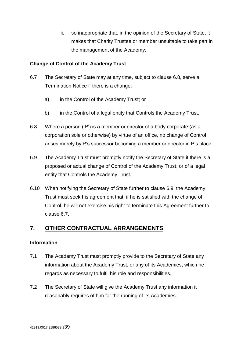iii. so inappropriate that, in the opinion of the Secretary of State, it makes that Charity Trustee or member unsuitable to take part in the management of the Academy.

## <span id="page-38-0"></span>**Change of Control of the Academy Trust**

- 6.7 The Secretary of State may at any time, subject to clause 6.8, serve a Termination Notice if there is a change:
	- a) in the Control of the Academy Trust; or
	- b) in the Control of a legal entity that Controls the Academy Trust.
- 6.8 Where a person ('P') is a member or director of a body corporate (as a corporation sole or otherwise) by virtue of an office, no change of Control arises merely by P's successor becoming a member or director in P's place.
- 6.9 The Academy Trust must promptly notify the Secretary of State if there is a proposed or actual change of Control of the Academy Trust, or of a legal entity that Controls the Academy Trust.
- 6.10 When notifying the Secretary of State further to clause 6.9, the Academy Trust must seek his agreement that, if he is satisfied with the change of Control, he will not exercise his right to terminate this Agreement further to clause 6.7.

## <span id="page-38-1"></span>**7. OTHER CONTRACTUAL ARRANGEMENTS**

## <span id="page-38-2"></span>**Information**

- 7.1 The Academy Trust must promptly provide to the Secretary of State any information about the Academy Trust, or any of its Academies, which he regards as necessary to fulfil his role and responsibilities.
- 7.2 The Secretary of State will give the Academy Trust any information it reasonably requires of him for the running of its Academies.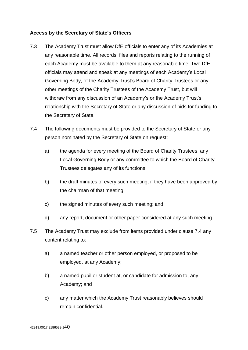## <span id="page-39-0"></span>**Access by the Secretary of State's Officers**

- 7.3 The Academy Trust must allow DfE officials to enter any of its Academies at any reasonable time. All records, files and reports relating to the running of each Academy must be available to them at any reasonable time. Two DfE officials may attend and speak at any meetings of each Academy's Local Governing Body, of the Academy Trust's Board of Charity Trustees or any other meetings of the Charity Trustees of the Academy Trust, but will withdraw from any discussion of an Academy's or the Academy Trust's relationship with the Secretary of State or any discussion of bids for funding to the Secretary of State.
- 7.4 The following documents must be provided to the Secretary of State or any person nominated by the Secretary of State on request:
	- a) the agenda for every meeting of the Board of Charity Trustees, any Local Governing Body or any committee to which the Board of Charity Trustees delegates any of its functions;
	- b) the draft minutes of every such meeting, if they have been approved by the chairman of that meeting;
	- c) the signed minutes of every such meeting; and
	- d) any report, document or other paper considered at any such meeting.
- 7.5 The Academy Trust may exclude from items provided under clause 7.4 any content relating to:
	- a) a named teacher or other person employed, or proposed to be employed, at any Academy;
	- b) a named pupil or student at, or candidate for admission to, any Academy; and
	- c) any matter which the Academy Trust reasonably believes should remain confidential.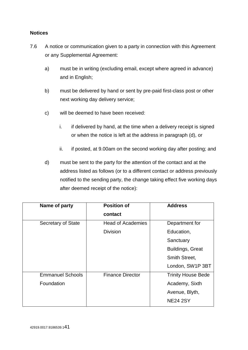## <span id="page-40-0"></span>**Notices**

- 7.6 A notice or communication given to a party in connection with this Agreement or any Supplemental Agreement:
	- a) must be in writing (excluding email, except where agreed in advance) and in English;
	- b) must be delivered by hand or sent by pre-paid first-class post or other next working day delivery service;
	- c) will be deemed to have been received:
		- i. if delivered by hand, at the time when a delivery receipt is signed or when the notice is left at the address in paragraph (d), or
		- ii. if posted, at 9.00am on the second working day after posting; and
	- d) must be sent to the party for the attention of the contact and at the address listed as follows (or to a different contact or address previously notified to the sending party, the change taking effect five working days after deemed receipt of the notice):

| Name of party           | <b>Position of</b>       | <b>Address</b>            |
|-------------------------|--------------------------|---------------------------|
|                         | contact                  |                           |
| Secretary of State      | <b>Head of Academies</b> | Department for            |
|                         | <b>Division</b>          | Education,                |
|                         |                          | Sanctuary                 |
|                         |                          | <b>Buildings, Great</b>   |
|                         |                          | Smith Street,             |
|                         |                          | London, SW1P 3BT          |
| <b>Emmanuel Schools</b> | <b>Finance Director</b>  | <b>Trinity House Bede</b> |
| Foundation              |                          | Academy, Sixth            |
|                         |                          | Avenue, Blyth,            |
|                         |                          | <b>NE24 2SY</b>           |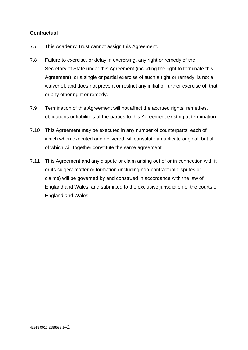## <span id="page-41-0"></span>**Contractual**

- 7.7 This Academy Trust cannot assign this Agreement.
- 7.8 Failure to exercise, or delay in exercising, any right or remedy of the Secretary of State under this Agreement (including the right to terminate this Agreement), or a single or partial exercise of such a right or remedy, is not a waiver of, and does not prevent or restrict any initial or further exercise of, that or any other right or remedy.
- 7.9 Termination of this Agreement will not affect the accrued rights, remedies, obligations or liabilities of the parties to this Agreement existing at termination.
- 7.10 This Agreement may be executed in any number of counterparts, each of which when executed and delivered will constitute a duplicate original, but all of which will together constitute the same agreement.
- 7.11 This Agreement and any dispute or claim arising out of or in connection with it or its subject matter or formation (including non-contractual disputes or claims) will be governed by and construed in accordance with the law of England and Wales, and submitted to the exclusive jurisdiction of the courts of England and Wales.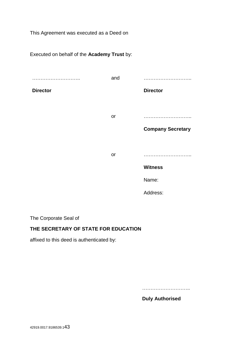This Agreement was executed as a Deed on

Executed on behalf of the **Academy Trust** by:

| .               | and |                          |
|-----------------|-----|--------------------------|
| <b>Director</b> |     | <b>Director</b>          |
|                 |     |                          |
|                 | or  |                          |
|                 |     | <b>Company Secretary</b> |
|                 |     |                          |
|                 | or  |                          |
|                 |     | <b>Witness</b>           |
|                 |     | Name:                    |
|                 |     | Address:                 |

The Corporate Seal of

## **THE SECRETARY OF STATE FOR EDUCATION**

affixed to this deed is authenticated by:

………………………..

**Duly Authorised**